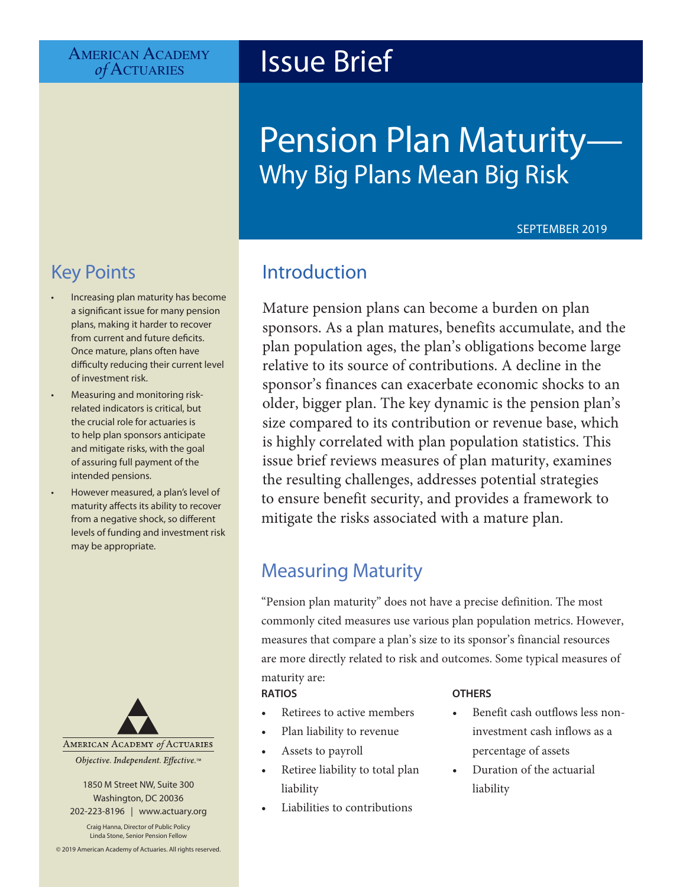# **Issue Brief**

# Pension Plan Maturity— Why Big Plans Mean Big Risk

#### SEPTEMBER 2019

# Key Points

- Increasing plan maturity has become a significant issue for many pension plans, making it harder to recover from current and future deficits. Once mature, plans often have difficulty reducing their current level of investment risk.
- Measuring and monitoring riskrelated indicators is critical, but the crucial role for actuaries is to help plan sponsors anticipate and mitigate risks, with the goal of assuring full payment of the intended pensions.
- However measured, a plan's level of maturity affects its ability to recover from a negative shock, so different levels of funding and investment risk may be appropriate.



1850 M Street NW, Suite 300 Washington, DC 20036 202-223-8196 | [www.actuary.org](http://actuary.org)

Craig Hanna, Director of Public Policy Linda Stone, Senior Pension Fellow

© 2019 American Academy of Actuaries. All rights reserved.

# Introduction

Mature pension plans can become a burden on plan sponsors. As a plan matures, benefits accumulate, and the plan population ages, the plan's obligations become large relative to its source of contributions. A decline in the sponsor's finances can exacerbate economic shocks to an older, bigger plan. The key dynamic is the pension plan's size compared to its contribution or revenue base, which is highly correlated with plan population statistics. This issue brief reviews measures of plan maturity, examines the resulting challenges, addresses potential strategies to ensure benefit security, and provides a framework to mitigate the risks associated with a mature plan.

# Measuring Maturity

"Pension plan maturity" does not have a precise definition. The most commonly cited measures use various plan population metrics. However, measures that compare a plan's size to its sponsor's financial resources are more directly related to risk and outcomes. Some typical measures of maturity are:

#### **RATIOS**

- Retirees to active members
- Plan liability to revenue
- Assets to payroll
- Retiree liability to total plan liability
- Liabilities to contributions

#### **OTHERS**

- Benefit cash outflows less noninvestment cash inflows as a percentage of assets
- Duration of the actuarial liability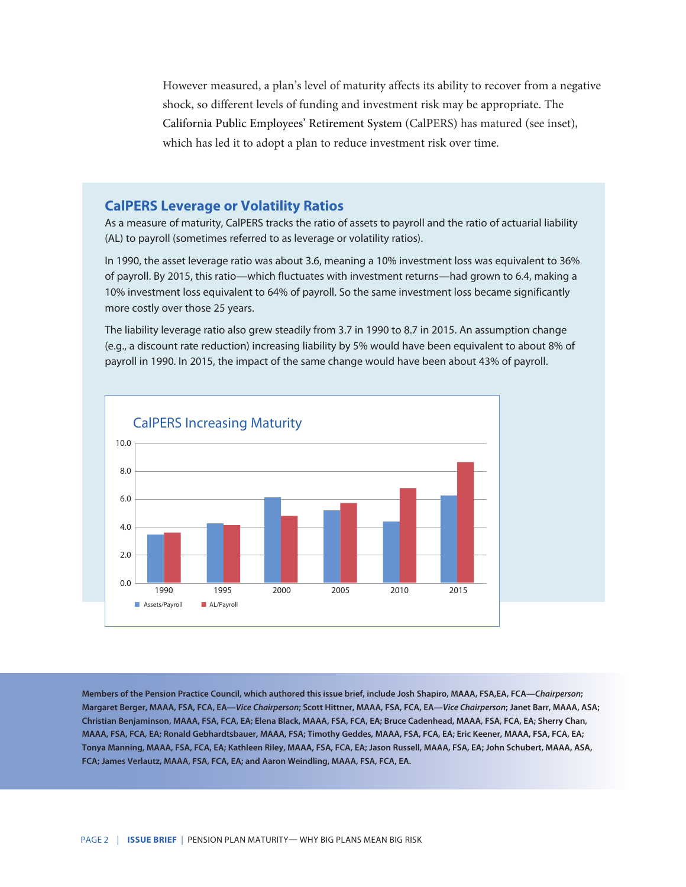However measured, a plan's level of maturity affects its ability to recover from a negative shock, so different levels of funding and investment risk may be appropriate. The California Public Employees' Retirement System (CalPERS) has matured (see inset), which has led it to adopt a plan to reduce investment risk over time.

#### **CalPERS Leverage or Volatility Ratios**

As a measure of maturity, CalPERS tracks the ratio of assets to payroll and the ratio of actuarial liability (AL) to payroll (sometimes referred to as leverage or volatility ratios).

In 1990, the asset leverage ratio was about 3.6, meaning a 10% investment loss was equivalent to 36% of payroll. By 2015, this ratio—which fluctuates with investment returns—had grown to 6.4, making a 10% investment loss equivalent to 64% of payroll. So the same investment loss became significantly more costly over those 25 years.

The liability leverage ratio also grew steadily from 3.7 in 1990 to 8.7 in 2015. An assumption change (e.g., a discount rate reduction) increasing liability by 5% would have been equivalent to about 8% of payroll in 1990. In 2015, the impact of the same change would have been about 43% of payroll.



**Members of the Pension Practice Council, which authored this issue brief, include Josh Shapiro, MAAA, FSA,EA, FCA—***Chairperson***; Margaret Berger, MAAA, FSA, FCA, EA—***Vice Chairperson***; Scott Hittner, MAAA, FSA, FCA, EA—***Vice Chairperson***; Janet Barr, MAAA, ASA; Christian Benjaminson, MAAA, FSA, FCA, EA; Elena Black, MAAA, FSA, FCA, EA; Bruce Cadenhead, MAAA, FSA, FCA, EA; Sherry Chan, MAAA, FSA, FCA, EA; Ronald Gebhardtsbauer, MAAA, FSA; Timothy Geddes, MAAA, FSA, FCA, EA; Eric Keener, MAAA, FSA, FCA, EA; Tonya Manning, MAAA, FSA, FCA, EA; Kathleen Riley, MAAA, FSA, FCA, EA; Jason Russell, MAAA, FSA, EA; John Schubert, MAAA, ASA, FCA; James Verlautz, MAAA, FSA, FCA, EA; and Aaron Weindling, MAAA, FSA, FCA, EA.**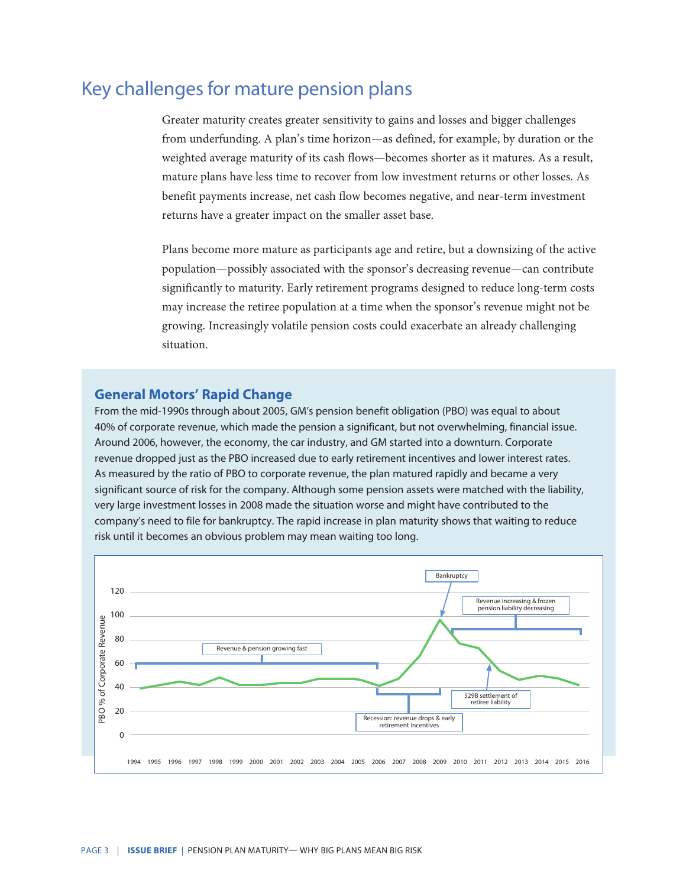## Key challenges for mature pension plans

Greater maturity creates greater sensitivity to gains and losses and bigger challenges from underfunding. A plan's time horizon—as defined, for example, by duration or the weighted average maturity of its cash flows—becomes shorter as it matures. As a result, mature plans have less time to recover from low investment returns or other losses. As benefit payments increase, net cash flow becomes negative, and near-term investment returns have a greater impact on the smaller asset base.

Plans become more mature as participants age and retire, but a downsizing of the active population—possibly associated with the sponsor's decreasing revenue—can contribute significantly to maturity. Early retirement programs designed to reduce long-term costs may increase the retiree population at a time when the sponsor's revenue might not be growing. Increasingly volatile pension costs could exacerbate an already challenging situation.

#### **General Motors' Rapid Change**

From the mid-1990s through about 2005, GM's pension benefit obligation (PBO) was equal to about 40% of corporate revenue, which made the pension a significant, but not overwhelming, financial issue. Around 2006, however, the economy, the car industry, and GM started into a downturn. Corporate revenue dropped just as the PBO increased due to early retirement incentives and lower interest rates. As measured by the ratio of PBO to corporate revenue, the plan matured rapidly and became a very significant source of risk for the company. Although some pension assets were matched with the liability, very large investment losses in 2008 made the situation worse and might have contributed to the company's need to file for bankruptcy. The rapid increase in plan maturity shows that waiting to reduce risk until it becomes an obvious problem may mean waiting too long.

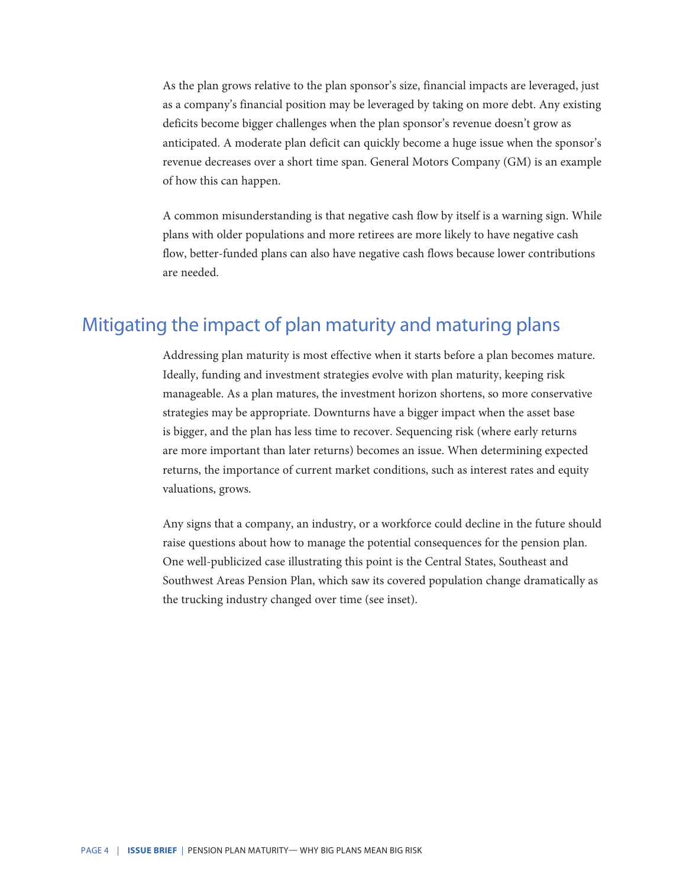As the plan grows relative to the plan sponsor's size, financial impacts are leveraged, just as a company's financial position may be leveraged by taking on more debt. Any existing deficits become bigger challenges when the plan sponsor's revenue doesn't grow as anticipated. A moderate plan deficit can quickly become a huge issue when the sponsor's revenue decreases over a short time span. General Motors Company (GM) is an example of how this can happen.

A common misunderstanding is that negative cash flow by itself is a warning sign. While plans with older populations and more retirees are more likely to have negative cash flow, better-funded plans can also have negative cash flows because lower contributions are needed.

### Mitigating the impact of plan maturity and maturing plans

Addressing plan maturity is most effective when it starts before a plan becomes mature. Ideally, funding and investment strategies evolve with plan maturity, keeping risk manageable. As a plan matures, the investment horizon shortens, so more conservative strategies may be appropriate. Downturns have a bigger impact when the asset base is bigger, and the plan has less time to recover. Sequencing risk (where early returns are more important than later returns) becomes an issue. When determining expected returns, the importance of current market conditions, such as interest rates and equity valuations, grows.

Any signs that a company, an industry, or a workforce could decline in the future should raise questions about how to manage the potential consequences for the pension plan. One well-publicized case illustrating this point is the Central States, Southeast and Southwest Areas Pension Plan, which saw its covered population change dramatically as the trucking industry changed over time (see inset).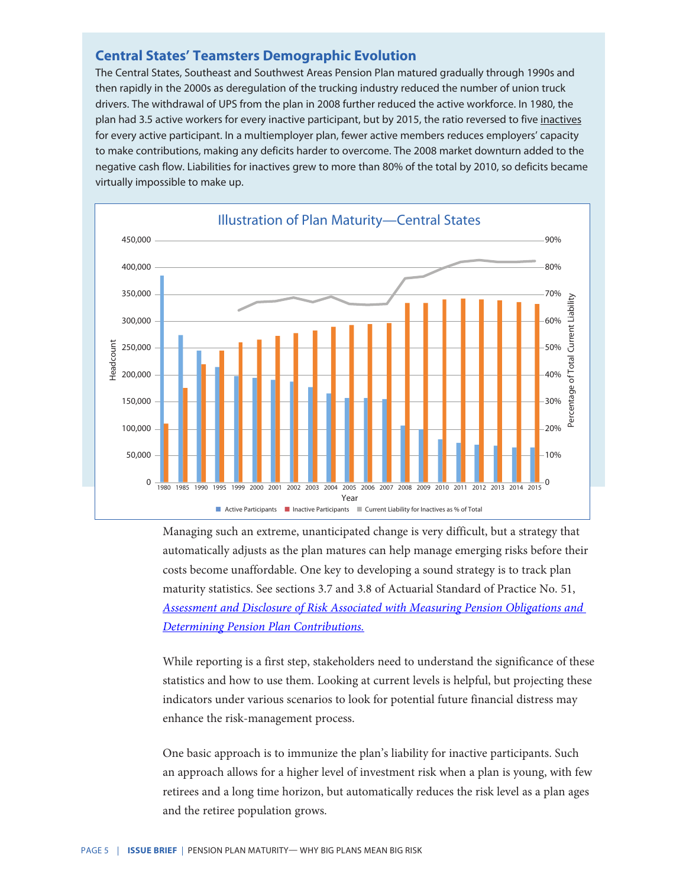#### **Central States' Teamsters Demographic Evolution**

The Central States, Southeast and Southwest Areas Pension Plan matured gradually through 1990s and then rapidly in the 2000s as deregulation of the trucking industry reduced the number of union truck drivers. The withdrawal of UPS from the plan in 2008 further reduced the active workforce. In 1980, the plan had 3.5 active workers for every inactive participant, but by 2015, the ratio reversed to five inactives for every active participant. In a multiemployer plan, fewer active members reduces employers' capacity to make contributions, making any deficits harder to overcome. The 2008 market downturn added to the negative cash flow. Liabilities for inactives grew to more than 80% of the total by 2010, so deficits became virtually impossible to make up.



Managing such an extreme, unanticipated change is very difficult, but a strategy that automatically adjusts as the plan matures can help manage emerging risks before their costs become unaffordable. One key to developing a sound strategy is to track plan maturity statistics. See sections 3.7 and 3.8 of Actuarial Standard of Practice No. 51, *[Assessment and Disclosure of Risk Associated with Measuring Pension Obligations and](http://www.actuarialstandardsboard.org/asops/assessment-disclosure-risk-associated-measuring-pension-obligations-determining-pension-plan-contributions-3/)  [Determining Pension Plan Contributions.](http://www.actuarialstandardsboard.org/asops/assessment-disclosure-risk-associated-measuring-pension-obligations-determining-pension-plan-contributions-3/)*

While reporting is a first step, stakeholders need to understand the significance of these statistics and how to use them. Looking at current levels is helpful, but projecting these indicators under various scenarios to look for potential future financial distress may enhance the risk-management process.

One basic approach is to immunize the plan's liability for inactive participants. Such an approach allows for a higher level of investment risk when a plan is young, with few retirees and a long time horizon, but automatically reduces the risk level as a plan ages and the retiree population grows.